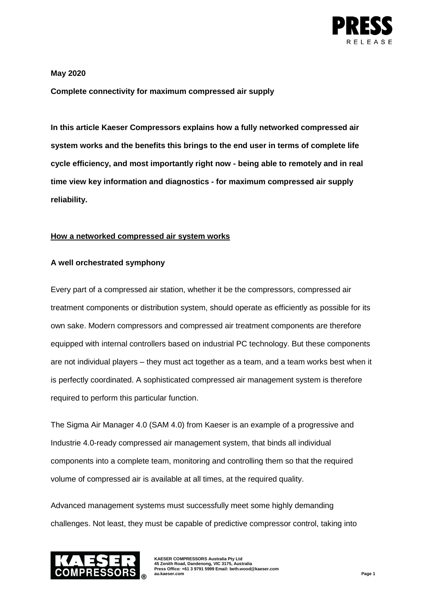

### **May 2020**

**Complete connectivity for maximum compressed air supply**

**In this article Kaeser Compressors explains how a fully networked compressed air system works and the benefits this brings to the end user in terms of complete life cycle efficiency, and most importantly right now - being able to remotely and in real time view key information and diagnostics - for maximum compressed air supply reliability.** 

## **How a networked compressed air system works**

## **A well orchestrated symphony**

Every part of a compressed air station, whether it be the compressors, compressed air treatment components or distribution system, should operate as efficiently as possible for its own sake. Modern compressors and compressed air treatment components are therefore equipped with internal controllers based on industrial PC technology. But these components are not individual players – they must act together as a team, and a team works best when it is perfectly coordinated. A sophisticated compressed air management system is therefore required to perform this particular function.

The Sigma Air Manager 4.0 (SAM 4.0) from Kaeser is an example of a progressive and Industrie 4.0-ready compressed air management system, that binds all individual components into a complete team, monitoring and controlling them so that the required volume of compressed air is available at all times, at the required quality.

Advanced management systems must successfully meet some highly demanding challenges. Not least, they must be capable of predictive compressor control, taking into



**KAESER COMPRESSORS Australia Pty Ltd 45 Zenith Road, Dandenong, VIC 3175, Australia Press Office: +61 3 9791 5999 Email: beth.wood@kaeser.com au.kaeser.com Page 1**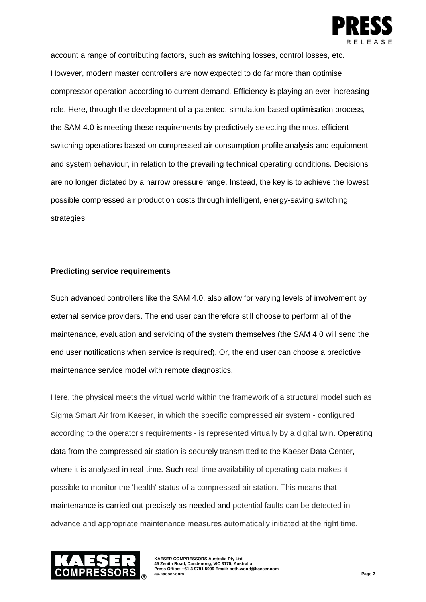

account a range of contributing factors, such as switching losses, control losses, etc. However, modern master controllers are now expected to do far more than optimise compressor operation according to current demand. Efficiency is playing an ever-increasing role. Here, through the development of a patented, simulation-based optimisation process, the SAM 4.0 is meeting these requirements by predictively selecting the most efficient switching operations based on compressed air consumption profile analysis and equipment and system behaviour, in relation to the prevailing technical operating conditions. Decisions are no longer dictated by a narrow pressure range. Instead, the key is to achieve the lowest possible compressed air production costs through intelligent, energy-saving switching strategies.

## **Predicting service requirements**

Such advanced controllers like the SAM 4.0, also allow for varying levels of involvement by external service providers. The end user can therefore still choose to perform all of the maintenance, evaluation and servicing of the system themselves (the SAM 4.0 will send the end user notifications when service is required). Or, the end user can choose a predictive maintenance service model with remote diagnostics.

Here, the physical meets the virtual world within the framework of a structural model such as Sigma Smart Air from Kaeser, in which the specific compressed air system - configured according to the operator's requirements - is represented virtually by a digital twin. Operating data from the compressed air station is securely transmitted to the Kaeser Data Center, where it is analysed in real-time. Such real-time availability of operating data makes it possible to monitor the 'health' status of a compressed air station. This means that maintenance is carried out precisely as needed and potential faults can be detected in advance and appropriate maintenance measures automatically initiated at the right time.



**KAESER COMPRESSORS Australia Pty Ltd 45 Zenith Road, Dandenong, VIC 3175, Australia Press Office: +61 3 9791 5999 Email: beth.wood@kaeser.com au.kaeser.com Page 2**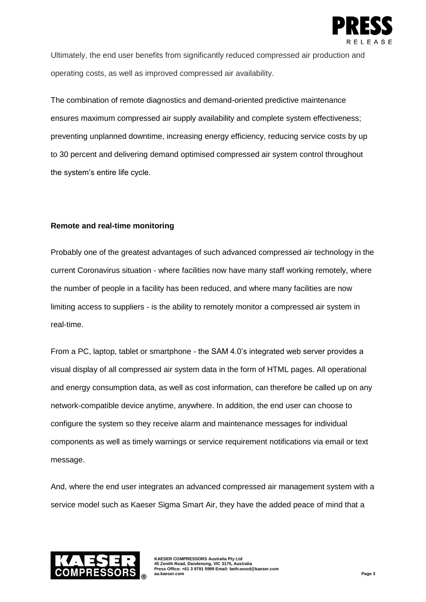

Ultimately, the end user benefits from significantly reduced compressed air production and operating costs, as well as improved compressed air availability.

The combination of remote diagnostics and demand-oriented predictive maintenance ensures maximum compressed air supply availability and complete system effectiveness; preventing unplanned downtime, increasing energy efficiency, reducing service costs by up to 30 percent and delivering demand optimised compressed air system control throughout the system's entire life cycle.

# **Remote and real-time monitoring**

Probably one of the greatest advantages of such advanced compressed air technology in the current Coronavirus situation - where facilities now have many staff working remotely, where the number of people in a facility has been reduced, and where many facilities are now limiting access to suppliers - is the ability to remotely monitor a compressed air system in real-time.

From a PC, laptop, tablet or smartphone - the SAM 4.0's integrated web server provides a visual display of all compressed air system data in the form of HTML pages. All operational and energy consumption data, as well as cost information, can therefore be called up on any network-compatible device anytime, anywhere. In addition, the end user can choose to configure the system so they receive alarm and maintenance messages for individual components as well as timely warnings or service requirement notifications via email or text message.

And, where the end user integrates an advanced compressed air management system with a service model such as Kaeser Sigma Smart Air, they have the added peace of mind that a



**KAESER COMPRESSORS Australia Pty Ltd 45 Zenith Road, Dandenong, VIC 3175, Australia Press Office: +61 3 9791 5999 Email: beth.wood@kaeser.com au.kaeser.com Page 3**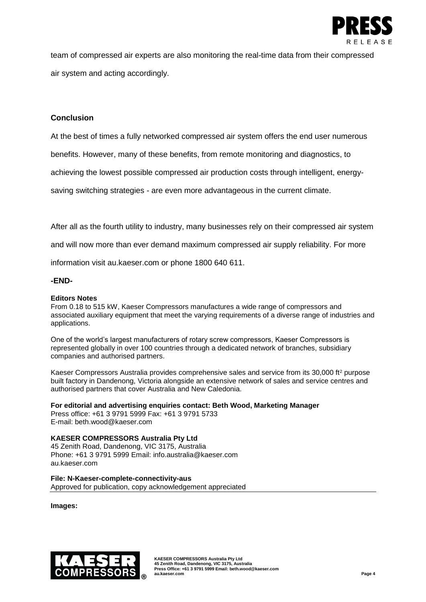

team of compressed air experts are also monitoring the real-time data from their compressed air system and acting accordingly.

## **Conclusion**

At the best of times a fully networked compressed air system offers the end user numerous

benefits. However, many of these benefits, from remote monitoring and diagnostics, to

achieving the lowest possible compressed air production costs through intelligent, energy-

saving switching strategies - are even more advantageous in the current climate.

After all as the fourth utility to industry, many businesses rely on their compressed air system

and will now more than ever demand maximum compressed air supply reliability. For more

information visit au.kaeser.com or phone 1800 640 611.

#### **-END-**

#### **Editors Notes**

From 0.18 to 515 kW, Kaeser Compressors manufactures a wide range of compressors and associated auxiliary equipment that meet the varying requirements of a diverse range of industries and applications.

One of the world's largest manufacturers of rotary screw compressors, Kaeser Compressors is represented globally in over 100 countries through a dedicated network of branches, subsidiary companies and authorised partners.

Kaeser Compressors Australia provides comprehensive sales and service from its 30,000 ft<sup>2</sup> purpose built factory in Dandenong, Victoria alongside an extensive network of sales and service centres and authorised partners that cover Australia and New Caledonia.

**For editorial and advertising enquiries contact: Beth Wood, Marketing Manager**

Press office: +61 3 9791 5999 Fax: +61 3 9791 5733 E-mail: beth.wood@kaeser.com

### **KAESER COMPRESSORS Australia Pty Ltd**

45 Zenith Road, Dandenong, VIC 3175, Australia Phone: +61 3 9791 5999 Email: info.australia@kaeser.com au.kaeser.com

**File: N-Kaeser-complete-connectivity-aus** Approved for publication, copy acknowledgement appreciated

**Images:**